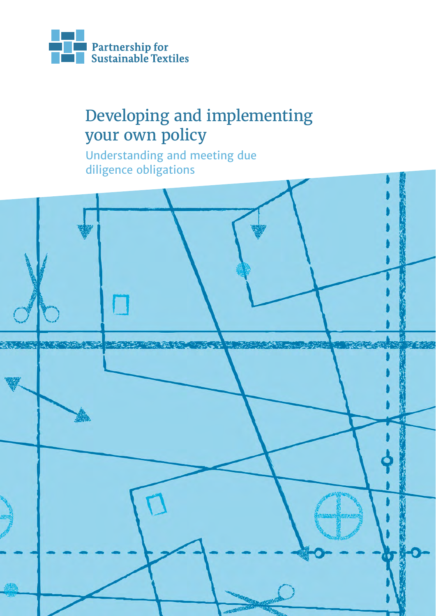

# Developing and implementing your own policy

Understanding and meeting due diligence obligations

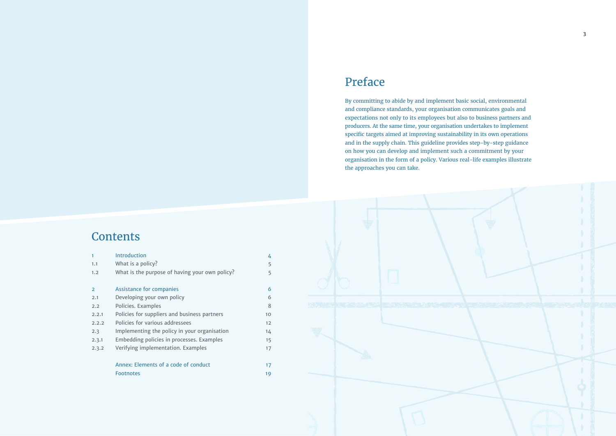# Preface

| $\mathbf{1}$  | <b>Introduction</b>                            | 4  |
|---------------|------------------------------------------------|----|
| 1.1           | What is a policy?                              | 5  |
| 1.2           | What is the purpose of having your own policy? | 5  |
| $\mathcal{P}$ | <b>Assistance for companies</b>                | 6  |
| 2.1           | Developing your own policy                     | 6  |
| 2.2           | Policies. Examples                             | 8  |
| 2.2.1         | Policies for suppliers and business partners   | 10 |
| 2.2.2         | Policies for various addressees                | 12 |
| 2.3           | Implementing the policy in your organisation   | 14 |
| 2.3.1         | Embedding policies in processes. Examples      | 15 |
| 2.3.2         | Verifying implementation. Examples             | 17 |
|               | Annex: Elements of a code of conduct           | 17 |
|               | <b>Footnotes</b>                               | 19 |



By committing to abide by and implement basic social, environmental and compliance standards, your organisation communicates goals and expectations not only to its employees but also to business partners and producers. At the same time, your organisation undertakes to implement specific targets aimed at improving sustainability in its own operations and in the supply chain. This guideline provides step-by-step guidance on how you can develop and implement such a commitment by your organisation in the form of a policy. Various real-life examples illustrate the approaches you can take.

# **Contents**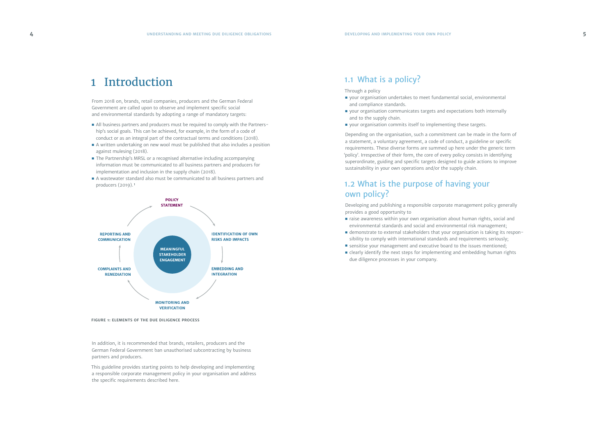# <span id="page-2-0"></span>1 Introduction

From 2018 on, brands, retail companies, producers and the German Federal Government are called upon to observe and implement specific social and environmental standards by adopting a range of mandatory targets:

- All business partners and producers must be required to comply with the Partnership's social goals. This can be achieved, for example, in the form of a code of conduct or as an integral part of the contractual terms and conditions (2018).
- A written undertaking on new wool must be published that also includes a position against mulesing (2018).
- The Partnership's MRSL or a recognised alternative including accompanying information must be communicated to all business partners and producers for implementation and inclusion in the supply chain (2018).
- A wastewater standard also must be communicated to all business partners and producers (2019). <sup>1</sup>
- your organisation undertakes to meet fundamental social, environmental and compliance standards.
- your organisation communicates targets and expectations both internally and to the supply chain.
- your organisation commits itself to implementing these targets.

In addition, it is recommended that brands, retailers, producers and the German Federal Government ban unauthorised subcontracting by business partners and producers.

This guideline provides starting points to help developing and implementing a responsible corporate management policy in your organisation and address the specific requirements described here.

# 1.1 What is a policy?

Through a policy

- raise awareness within your own organisation about human rights, social and environmental standards and social and environmental risk management;
- demonstrate to external stakeholders that your organisation is taking its responsibility to comply with international standards and requirements seriously;
- sensitise your management and executive board to the issues mentioned;
- clearly identify the next steps for implementing and embedding human rights due diligence processes in your company.

Depending on the organisation, such a commitment can be made in the form of a statement, a voluntary agreement, a code of conduct, a guideline or specific requirements. These diverse forms are summed up here under the generic term 'policy'. Irrespective of their form, the core of every policy consists in identifying superordinate, guiding and specific targets designed to guide actions to improve sustainability in your own operations and/or the supply chain.

# 1.2 What is the purpose of having your own policy?

Developing and publishing a responsible corporate management policy generally provides a good opportunity to



**FIGURE 1: ELEMENTS OF THE DUE DILIGENCE PROCESS**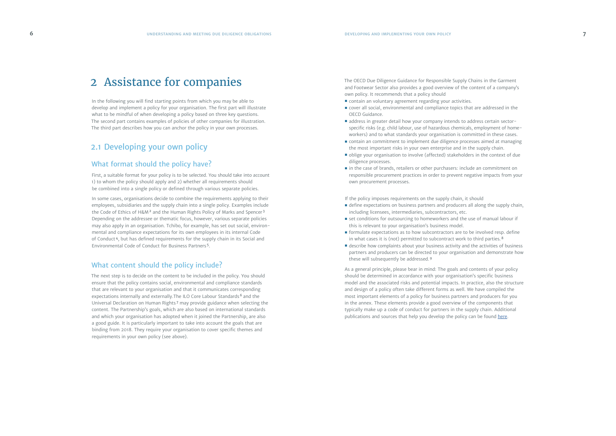The OECD Due Diligence Guidance for Responsible Supply Chains in the Garment and Footwear Sector also provides a good overview of the content of a company's own policy. It recommends that a policy should

- contain an voluntary agreement regarding your activities.
- cover all social, environmental and compliance topics that are addressed in the OECD Guidance.
- address in greater detail how your company intends to address certain sectorspecific risks (e.g. child labour, use of hazardous chemicals, employment of homeworkers) and to what standards your organisation is committed in these cases.
- contain an commitment to implement due diligence processes aimed at managing the most important risks in your own enterprise and in the supply chain.
- oblige your organisation to involve (affected) stakeholders in the context of due diligence processes.
- in the case of brands, retailers or other purchasers: include an commitment on responsible procurement practices in order to prevent negative impacts from your own procurement processes.

- define expectations on business partners and producers all along the supply chain, including licensees, intermediaries, subcontractors, etc.
- set conditions for outsourcing to homeworkers and the use of manual labour if this is relevant to your organisation's business model.
- formulate expectations as to how subcontractors are to be involved resp. define in what cases it is (not) permitted to subcontract work to third parties. <sup>8</sup>
- describe how complaints about your business activity and the activities of business partners and producers can be directed to your organisation and demonstrate how these will subsequently be addressed.<sup>9</sup>

If the policy imposes requirements on the supply chain, it should

As a general principle, please bear in mind: The goals and contents of your policy should be determined in accordance with your organisation's specific business model and the associated risks and potential impacts. In practice, also the structure and design of a policy often take different forms as well. We have compiled the most important elements of a policy for business partners and producers for you in the annex. These elements provide a good overview of the components that typically make up a code of conduct for partners in the supply chain. Additional publications and sources that help you develop the policy can be found [here](https://portal.textilbuendnis.com/groups/werkzeuge-und-hilfestellungen/files/folders/59d20e1d7a53d421030000a7).

# <span id="page-3-0"></span>2 Assistance for companies

In the following you will find starting points from which you may be able to develop and implement a policy for your organisation. The first part will illustrate what to be mindful of when developing a policy based on three key questions. The second part contains examples of policies of other companies for illustration. The third part describes how you can anchor the policy in your own processes.

# 2.1 Developing your own policy

### What format should the policy have?

First, a suitable format for your policy is to be selected. You should take into account 1) to whom the policy should apply and 2) whether all requirements should be combined into a single policy or defined through various separate policies.

In some cases, organisations decide to combine the requirements applying to their employees, subsidiaries and the supply chain into a single policy. Examples include the Code of Ethics of H&M<sup>2</sup> and the Human Rights Policy of Marks and Spencer<sup>3</sup> Depending on the addressee or thematic focus, however, various separate policies may also apply in an organisation. Tchibo, for example, has set out social, environmental and compliance expectations for its own employees in its internal Code of Conduct <sup>4</sup>, but has defined requirements for the supply chain in its Social and Environmental Code of Conduct for Business Partners <sup>5</sup>.

### What content should the policy include?

The next step is to decide on the content to be included in the policy. You should ensure that the policy contains social, environmental and compliance standards that are relevant to your organisation and that it communicates corresponding expectations internally and externally. The ILO Core Labour Standards<sup>6</sup> and the Universal Declaration on Human Rights <sup>7</sup> may provide guidance when selecting the content. The Partnership's goals, which are also based on international standards and which your organisation has adopted when it joined the Partnership, are also a good guide. It is particularly important to take into account the goals that are binding from 2018. They require your organisation to cover specific themes and requirements in your own policy (see above).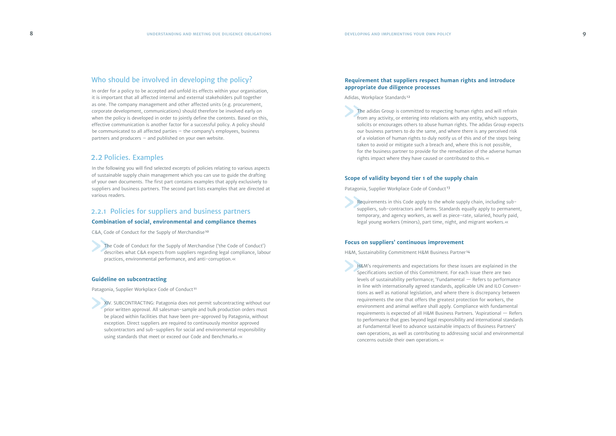### <span id="page-4-0"></span>Who should be involved in developing the policy?

#### **Requirement that suppliers respect human rights and introduce appropriate due diligence processes**

Adidas, Workplace Standards <sup>12</sup>

The adidas Group is committed to respecting human rights and will refrain from any activity, or entering into relations with any entity, which supports, solicits or encourages others to abuse human rights. The adidas Group expects our business partners to do the same, and where there is any perceived risk of a violation of human rights to duly notify us of this and of the steps being taken to avoid or mitigate such a breach and, where this is not possible, for the business partner to provide for the remediation of the adverse human rights impact where they have caused or contributed to this.«

#### **Scope of validity beyond tier 1 of the supply chain**

Patagonia, Supplier Workplace Code of Conduct <sup>13</sup>

Requirements in this Code apply to the whole supply chain, including subsuppliers, sub-contractors and farms. Standards equally apply to permanent, temporary, and agency workers, as well as piece-rate, salaried, hourly paid, legal young workers (minors), part time, night, and migrant workers.«

#### **Focus on suppliers' continuous improvement**

H&M, Sustainability Commitment H&M Business Partner <sup>14</sup>

H&M's requirements and expectations for these issues are explained in the Specifications section of this Commitment. For each issue there are two levels of sustainability performance; 'Fundamental — Refers to performance in line with internationally agreed standards, applicable UN and ILO Conven tions as well as national legislation, and where there is discrepancy between requirements the one that offers the greatest protection for workers, the environment and animal welfare shall apply. Compliance with fundamental requirements is expected of all H&M Business Partners. 'Aspirational — Refers to performance that goes beyond legal responsibility and international standards at Fundamental level to advance sustainable impacts of Business Partners' own operations, as well as contributing to addressing social and environmental concerns outside their own operations.«

In order for a policy to be accepted and unfold its effects within your organisation, it is important that all affected internal and external stakeholders pull together as one. The company management and other affected units (e.g. procurement, corporate development, communications) should therefore be involved early on when the policy is developed in order to jointly define the contents. Based on this, effective communication is another factor for a successful policy. A policy should be communicated to all affected parties – the company's employees, business partners and producers – and published on your own website.

### 2.2 Policies. Examples

In the following you will find selected excerpts of policies relating to various aspects of sustainable supply chain management which you can use to guide the drafting of your own documents. The first part contains examples that apply exclusively to suppliers and business partners. The second part lists examples that are directed at various readers.

#### 2.2.1 Policies for suppliers and business partners

#### **Combination of social, environmental and compliance themes**

C&A, Code of Conduct for the Supply of Merchandise<sup>10</sup>

The Code of Conduct for the Supply of Merchandise ('the Code of Conduct') describes what C&A expects from suppliers regarding legal compliance, labour practices, environmental performance, and anti-corruption.«

#### **Guideline on subcontracting**

Patagonia, Supplier Workplace Code of Conduct <sup>11</sup>

XIV. SUBCONTRACTING: Patagonia does not permit subcontracting without our prior written approval. All salesman-sample and bulk production orders must be placed within facilities that have been pre-approved by Patagonia, without exception. Direct suppliers are required to continuously monitor approved subcontractors and sub-suppliers for social and environmental responsibility using standards that meet or exceed our Code and Benchmarks.«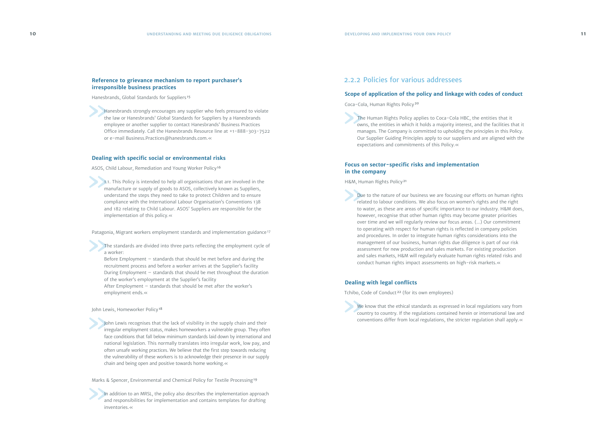#### <span id="page-5-0"></span>**Reference to grievance mechanism to report purchaser's irresponsible business practices**

Hanesbrands, Global Standards for Suppliers <sup>15</sup>

Hanesbrands strongly encourages any supplier who feels pressured to violate the law or Hanesbrands' Global Standards for Suppliers by a Hanesbrands employee or another supplier to contact Hanesbrands' Business Practices Office immediately. Call the Hanesbrands Resource line at +1-888-303-7522 or e-mail [Business.Practices@hanesbrands.com](mailto:Business.Practices%40hanesbrands.com?subject=).«

#### **Dealing with specific social or environmental risks**

The standards are divided into three parts reflecting the employment cycle of a worker:

ASOS, Child Labour, Remediation and Young Worker Policy<sup>16</sup>

1.1. This Policy is intended to help all organisations that are involved in the manufacture or supply of goods to ASOS, collectively known as Suppliers, understand the steps they need to take to protect Children and to ensure compliance with the International Labour Organisation's Conventions 138 and 182 relating to Child Labour. ASOS' Suppliers are responsible for the implementation of this policy.«

Patagonia, Migrant workers employment standards and implementation guidance<sup>17</sup>

John Lewis recognises that the lack of visibility in the supply chain and their irregular employment status, makes homeworkers a vulnerable group. They often face conditions that fall below minimum standards laid down by international and national legislation. This normally translates into irregular work, low pay, and often unsafe working practices. We believe that the first step towards reducing the vulnerability of these workers is to acknowledge their presence in our supply chain and being open and positive towards home working.«

Marks & Spencer, Environmental and Chemical Policy for Textile Processing<sup>19</sup>

In addition to an MRSL, the policy also describes the implementation approach and responsibilities for implementation and contains templates for drafting inventories.«

Before Employment – standards that should be met before and during the recruitment process and before a worker arrives at the Supplier's facility During Employment – standards that should be met throughout the duration of the worker's employment at the Supplier's facility

After Employment – standards that should be met after the worker's employment ends.«

John Lewis, Homeworker Policy<sup>18</sup>

We know that the ethical standards as expressed in local regulations vary from country to country. If the regulations contained herein or international law and conventions differ from local regulations, the stricter regulation shall apply.«

## 2.2.2 Policies for various addressees

#### **Scope of application of the policy and linkage with codes of conduct**

Coca-Cola, Human Rights Policy <sup>20</sup>

 The Human Rights Policy applies to Coca-Cola HBC, the entities that it owns, the entities in which it holds a majority interest, and the facilities that it manages. The Company is committed to upholding the principles in this Policy. Our Supplier Guiding Principles apply to our suppliers and are aligned with the expectations and commitments of this Policy.«

#### **Focus on sector-specific risks and implementation in the company**

H&M, Human Rights Policy <sup>21</sup>

Due to the nature of our business we are focusing our efforts on human rights related to labour conditions. We also focus on women's rights and the right to water, as these are areas of specific importance to our industry. H&M does, however, recognise that other human rights may become greater priorities over time and we will regularly review our focus areas. (...) Our commitment to operating with respect for human rights is reflected in company policies and procedures. In order to integrate human rights considerations into the management of our business, human rights due diligence is part of our risk assessment for new production and sales markets. For existing production and sales markets, H&M will regularly evaluate human rights related risks and conduct human rights impact assessments on high-risk markets.«

#### **Dealing with legal conflicts**

Tchibo, Code of Conduct <sup>22</sup> (for its own employees)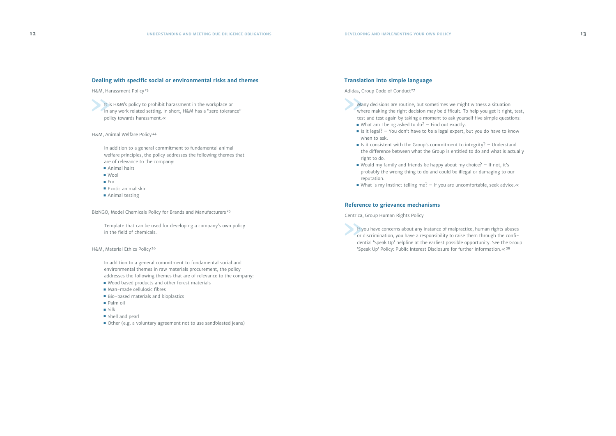- Many decisions are routine, but sometimes we might witness a situation where making the right decision may be difficult. To help you get it right, test, test and test again by taking a moment to ask yourself five simple questions:  $\blacksquare$  What am I being asked to do? – Find out exactly.
	- Is it legal? You don't have to be a legal expert, but you do have to know when to ask.
- $\blacksquare$  Is it consistent with the Group's commitment to integrity? Understand the difference between what the Group is entitled to do and what is actually right to do.
- Would my family and friends be happy about my choice? If not, it's probably the wrong thing to do and could be illegal or damaging to our reputation.
- What is my instinct telling me? If you are uncomfortable, seek advice.«

#### **Translation into simple language**

Adidas, Group Code of Conduct<sup>27</sup>

If you have concerns about any instance of malpractice, human rights abuses or discrimination, you have a responsibility to raise them through the confidential 'Speak Up' helpline at the earliest possible opportunity. See the Group 'Speak Up' Policy: Public Interest Disclosure for further information.«<sup>28</sup>

#### **Reference to grievance mechanisms**

Centrica, Group Human Rights Policy

#### <span id="page-6-0"></span>**Dealing with specific social or environmental risks and themes**

H&M, Harassment Policy <sup>23</sup>

It is H&M's policy to prohibit harassment in the workplace or in any work related setting. In short, H&M has a "zero tolerance" policy towards harassment.«

H&M, Animal Welfare Policy <sup>24</sup>

In addition to a general commitment to fundamental animal welfare principles, the policy addresses the following themes that are of relevance to the company:

- Animal hairs
- Wool
- Fur
- Exotic animal skin
- Animal testing

BizNGO, Model Chemicals Policy for Brands and Manufacturers <sup>25</sup>

Template that can be used for developing a company's own policy in the field of chemicals.

H&M, Material Ethics Policy <sup>26</sup>

In addition to a general commitment to fundamental social and environmental themes in raw materials procurement, the policy addresses the following themes that are of relevance to the company:

- Wood based products and other forest materials
- Man-made cellulosic fibres
- Bio-based materials and bioplastics
- Palm oil
- Silk
- Shell and pearl
- Other (e.g. a voluntary agreement not to use sandblasted jeans)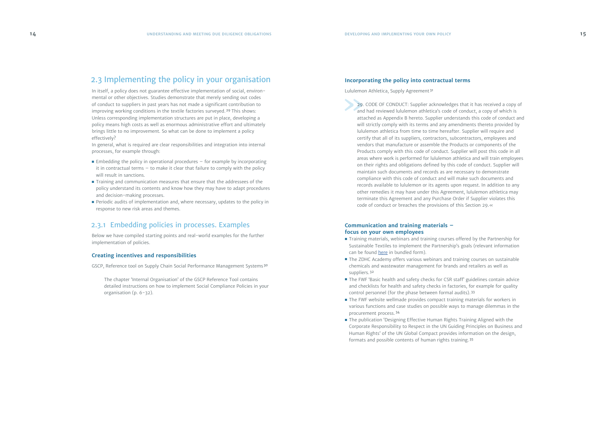# <span id="page-7-0"></span>2.3 Implementing the policy in your organisation

In itself, a policy does not guarantee effective implementation of social, environ mental or other objectives. Studies demonstrate that merely sending out codes of conduct to suppliers in past years has not made a significant contribution to improving working conditions in the textile factories surveyed.<sup>29</sup> This shows: Unless corresponding implementation structures are put in place, developing a policy means high costs as well as enormous administrative effort and ultimately brings little to no improvement. So what can be done to implement a policy effectively?

- $\blacksquare$  Embedding the policy in operational procedures for example by incorporating it in contractual terms  $-$  to make it clear that failure to comply with the policy will result in sanctions.
- Training and communication measures that ensure that the addressees of the policy understand its contents and know how they may have to adapt procedures and decision-making processes.
- Periodic audits of implementation and, where necessary, updates to the policy in response to new risk areas and themes.

In general, what is required are clear responsibilities and integration into internal processes, for example through:

# 2.3.1 Embedding policies in processes. Examples

Below we have compiled starting points and real-world examples for the further implementation of policies.

#### **Creating incentives and responsibilities**

GSCP, Reference tool on Supply Chain Social Performance Management Systems <sup>30</sup>

The chapter 'Internal Organisation' of the GSCP Reference Tool contains detailed instructions on how to implement Social Compliance Policies in your organisation (p. 6-32).

#### **Incorporating the policy into contractual terms**

Lululemon Athletica, Supply Agreement <sup>31</sup>

- Training materials, webinars and training courses offered by the Partnership for Sustainable Textiles to implement the Partnership's goals (relevant information can be found [here](https://portal.textilbuendnis.com/groups/werkzeuge-und-hilfestellungen/files/folders/59d20da47a53d421030000a6) in bundled form).
- The ZDHC Academy offers various webinars and training courses on sustainable chemicals and wastewater management for brands and retailers as well as suppliers. <sup>32</sup>
- The FWF 'Basic health and safety checks for CSR staff' guidelines contain advice and checklists for health and safety checks in factories, for example for quality control personnel (for the phase between formal audits). <sup>33</sup>
- The FWF website wellmade provides compact training materials for workers in various functions and case studies on possible ways to manage dilemmas in the procurement process. <sup>34</sup>
- The publication 'Designing Effective Human Rights Training Aligned with the Corporate Responsibility to Respect in the UN Guiding Principles on Business and Human Rights' of the UN Global Compact provides information on the design, formats and possible contents of human rights training. <sup>35</sup>

29. CODE OF CONDUCT: Supplier acknowledges that it has received a copy of and had reviewed lululemon athletica's code of conduct, a copy of which is attached as Appendix B hereto. Supplier understands this code of conduct and will strictly comply with its terms and any amendments thereto provided by lululemon athletica from time to time hereafter. Supplier will require and certify that all of its suppliers, contractors, subcontractors, employees and vendors that manufacture or assemble the Products or components of the Products comply with this code of conduct. Supplier will post this code in all areas where work is performed for lululemon athletica and will train employees on their rights and obligations defined by this code of conduct. Supplier will maintain such documents and records as are necessary to demonstrate compliance with this code of conduct and will make such documents and records available to lululemon or its agents upon request. In addition to any other remedies it may have under this Agreement, lululemon athletica may terminate this Agreement and any Purchase Order if Supplier violates this code of conduct or breaches the provisions of this Section 29.«

#### **Communication and training materials – focus on your own employees**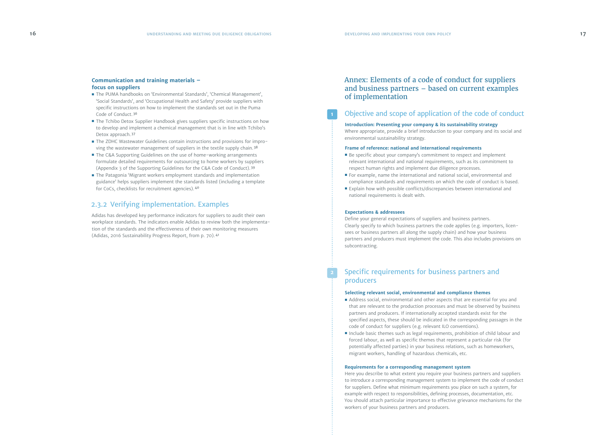# Annex: Elements of a code of conduct for suppliers and business partners – based on current examples of implementation

# Objective and scope of application of the code of conduct

**Introduction: Presenting your company & its sustainability strategy** Where appropriate, provide a brief introduction to your company and its social and environmental sustainability strategy.

#### **Frame of reference: national and international requirements**

- Be specific about your company's commitment to respect and implement relevant international and national requirements, such as its commitment to respect human rights and implement due diligence processes.
- For example, name the international and national social, environmental and compliance standards and requirements on which the code of conduct is based.
- Explain how with possible conflicts/discrepancies between international and national requirements is dealt with.

#### **Expectations & addressees**

- Address social, environmental and other aspects that are essential for you and that are relevant to the production processes and must be observed by business partners and producers. If internationally accepted standards exist for the specified aspects, these should be indicated in the corresponding passages in the code of conduct for suppliers (e.g. relevant ILO conventions).
- Include basic themes such as legal requirements, prohibition of child labour and forced labour, as well as specific themes that represent a particular risk (for potentially affected parties) in your business relations, such as homeworkers, migrant workers, handling of hazardous chemicals, etc.

Define your general expectations of suppliers and business partners. Clearly specify to which business partners the code applies (e.g. importers, licensees or business partners all along the supply chain) and how your business partners and producers must implement the code. This also includes provisions on subcontracting.

## Specific requirements for business partners and producers

### **Selecting relevant social, environmental and compliance themes**

#### **Requirements for a corresponding management system**

Here you describe to what extent you require your business partners and suppliers to introduce a corresponding management system to implement the code of conduct for suppliers. Define what minimum requirements you place on such a system, for example with respect to responsibilities, defining processes, documentation, etc. You should attach particular importance to effective grievance mechanisms for the workers of your business partners and producers.

- 
- 

#### <span id="page-8-0"></span>**Communication and training materials – focus on suppliers**

- The PUMA handbooks on 'Environmental Standards', 'Chemical Management', 'Social Standards', and 'Occupational Health and Safety' provide suppliers with specific instructions on how to implement the standards set out in the Puma Code of Conduct. <sup>36</sup>
- The Tchibo Detox Supplier Handbook gives suppliers specific instructions on how to develop and implement a chemical management that is in line with Tchibo's Detox approach. <sup>37</sup>
- The ZDHC Wastewater Guidelines contain instructions and provisions for improving the wastewater management of suppliers in the textile supply chain.<sup>38</sup>
- The C&A Supporting Guidelines on the use of home-working arrangements formulate detailed requirements for outsourcing to home workers by suppliers (Appendix 3 of the Supporting Guidelines for the C&A Code of Conduct). <sup>39</sup>
- The Patagonia 'Migrant workers employment standards and implementation guidance' helps suppliers implement the standards listed (including a template for CoCs, checklists for recruitment agencies). <sup>40</sup>

## 2.3.2 Verifying implementation. Examples

Adidas has developed key performance indicators for suppliers to audit their own workplace standards. The indicators enable Adidas to review both the implementation of the standards and the effectiveness of their own monitoring measures (Adidas, 2016 Sustainability Progress Report, from p. 70). <sup>41</sup>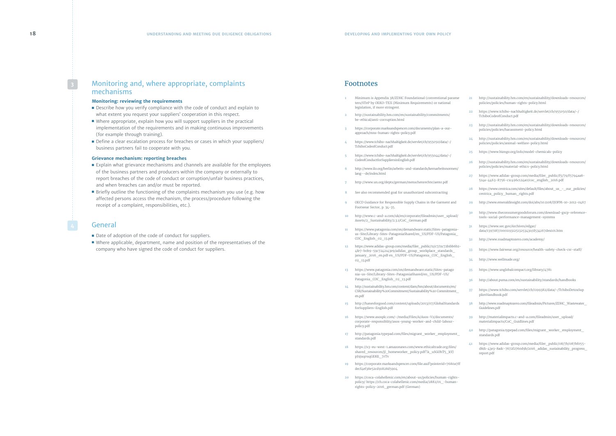## <span id="page-9-0"></span>Monitoring and, where appropriate, complaints mechanisms

#### **Monitoring: reviewing the requirements**

- Describe how you verify compliance with the code of conduct and explain to what extent you request your suppliers' cooperation in this respect.
- Where appropriate, explain how you will support suppliers in the practical implementation of the requirements and in making continuous improvements (for example through training).
- Define a clear escalation process for breaches or cases in which your suppliers/ business partners fail to cooperate with you.

- Explain what grievance mechanisms and channels are available for the employees of the business partners and producers within the company or externally to report breaches of the code of conduct or corruption/unfair business practices, and when breaches can and/or must be reported.
- Briefly outline the functioning of the complaints mechanism you use (e.g. how affected persons access the mechanism, the process/procedure following the receipt of a complaint, responsibilities, etc.).

#### **Grievance mechanism: reporting breaches**

- Date of adoption of the code of conduct for suppliers.
- Where applicable, department, name and position of the representatives of the company who have signed the code of conduct for suppliers.

#### General

### Footnotes

- **1** Minimum is Appendix 38/ZDHC Foundational (conventional parame ters/STeP by OEKO-TEX (Minimum Requirements) or national legislation, if more stringent.
- **2** http://sustainability.hm.com/en/sustainability/commitments/ be-ethical/anti-corruption.html
- **3** https://corporate.marksandspencer.com/documents/plan-a-ourapproach/mns-human-rights-policy.pdf
- **4** https://www.tchibo-nachhaltigkeit.de/servlet/cb/955050/data/-/ TchiboCodeofConduct.pdf
- **5** https://www.tchibo-nachhaltigkeit.de/servlet/cb/955044/data/-/ CodeofConductforSuppliersinEnglish.pdf
- **6** http://www.ilo.org/berlin/arbeits-und-standards/kernarbeitsnormen/ lang--de/index.html
- **7** http://www.un.org/depts/german/menschenrechte/aemr.pdf
- **8** See also recommended goal for unauthorized subcontracting
- **9** OECD Guidance for Responsible Supply Chains in the Garment and Footwear Sector, p. 34-35.
- **10** http://www.c-and-a.com/uk/en/corporate/fileadmin/user\_upload/ Assets/2\_Sustainability/2.3.1/CoC\_German.pdf
- **11** https://www.patagonia.com/on/demandware.static/Sites-patagonia- us-Site/Library-Sites-PatagoniaShared/en\_US/PDF-US/Patagonia\_ COC\_English\_02\_13.pdf
- **12** https://www.adidas-group.com/media/filer\_public/11/c7/11c72b1bb6b2- 4fe7-b0b9-59c7242143e9/adidas\_group\_workplace\_standards\_ january\_2016\_en.pdf en\_US/PDF-US/Patagonia\_COC\_English\_ 02\_13.pdf
- **13** https://www.patagonia.com/on/demandware.static/Sites-patago nia-us-Site/Library-Sites-PatagoniaShared/en\_US/PDF-US/ Patagonia\_COC\_English\_02\_13.pdf
- **14** http://sustainability.hm.com/content/dam/hm/about/documents/en/ CSR/Sustainability%20Commitment/Sustainability%20 Commitment\_ en.pdf
- **15** http://hanesforgood.com/content/uploads/2013/07/GlobalStandards forSuppliers-English.pdf
- **16** https://www.asosplc.com/~/media/Files/A/Asos-V2/documents/ corporate-responsiblity/asos-young-worker-and-child-labourpolicy.pdf
- **17** http://patagonia.typepad.com/files/migrant\_worker\_employment\_ standards.pdf
- **18** https://s3-eu-west-1.amazonaws.com/www.ethicaltrade.org.files/ shared\_resources/jl\_homeworker\_policy.pdf?.k\_uSGOhT5\_kYJ pJ9juq0uqGEKE\_7rTv
- **19** https://corporate.marksandspencer.com/file.axd?pointerid=7680a7ff decf4ef38e52cd91828d5904
- **20** https://coca-colahellenic.com/en/about-us/policies/human-rights- policy/ https://ch.coca-colahellenic.com/media/2882/01\_-human- rights-policy-2016\_german.pdf (German)
- **21** http://sustainability.hm.com/en/sustainability/downloads-resources/ policies/policies/human-rights-policy.html
- **22** https://www.tchibo-nachhaltigkeit.de/servlet/cb/955050/data/-/ TchiboCodeofConduct.pdf
- **23** http://sustainability.hm.com/en/sustainability/downloads-resources/ policies/policies/harassment-policy.html
- **24** http://sustainability.hm.com/en/sustainability/downloads-resources/ policies/policies/animal-welfare-policy.html
- **25** https://www.bizngo.org/info/model-chemicals-policy
- **26** http://sustainability.hm.com/en/sustainability/downloads-resources/ policies/policies/material-ethics-policy.html
- **27** https://www.adidas-group.com/media/filer\_public/f5/79/f5794aa8- 514a-4463-8756-c1c496c124a0/coc\_english\_2016.pdf
- 28 https://www.centrica.com/sites/default/files/about\_us\_-\_our\_policies/ centrica\_policy\_human\_rights.pdf
- **29** http://www.emeraldinsight.com/doi/abs/10.1108/IJOPM-10-2012-0467
- **30** http://www.theconsumergoodsforum.com/download-gscp-referencetools-social-performance-management-systems
- **31** https://www.sec.gov/Archives/edgar/ data/1397187/000119312513253430/d534167dex101.htm
- **32** http://www.roadmaptozero.com/academy/
- **33** https://www.fairwear.org/resource/health-safety-check-csr-staff/
- **34** http://www.wellmade.org/
- **35** https://www.unglobalcompact.org/library/4781
- **36** http://about.puma.com/en/sustainability/standards/handbooks
- **37** https://www.tchibo.com/servlet/cb/1199382/data/-/TchiboDetoxSup plierHandbook.pdf
- **38** http://www.roadmaptozero.com/fileadmin/Pictures/ZDHC\_Wastewater\_ Guidelines.pdf
- **39** http://materialimpacts.c-and-a.com/fileadmin/user\_upload/ materialimpacts/CoC\_Guidlines.pdf
- **40** http://patagonia.typepad.com/files/migrant\_worker\_employment\_ standards.pdf
- **41** https://www.adidas-group.com/media/filer\_public/08/7b/087bf055- d8d1-43e3-8adc-7672f2760d9b/2016\_adidas\_sustainability\_progress\_ report.pdf